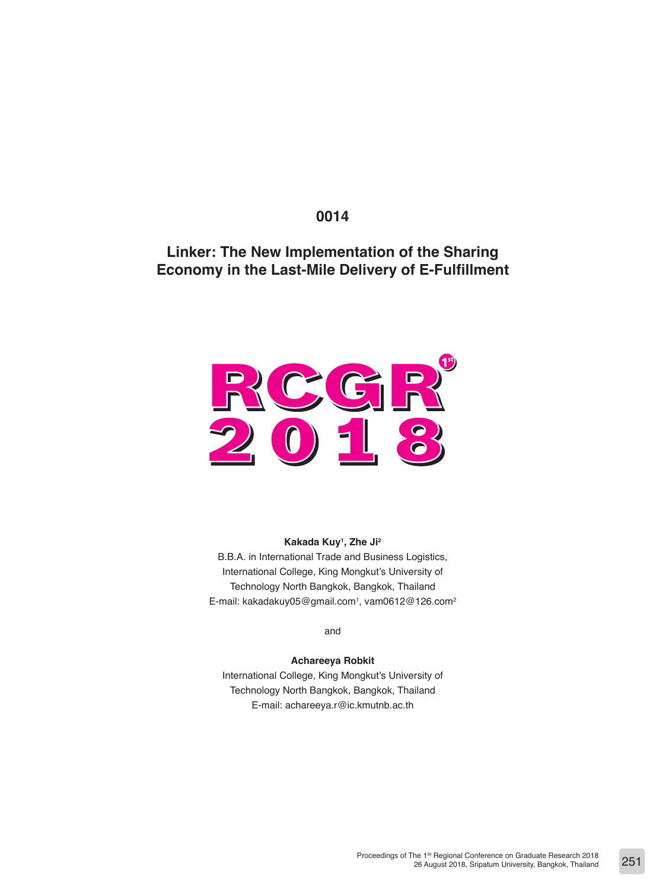## **0014**

# **Linker: The New Implementation of the Sharing Economy in the Last-Mile Delivery of E-Fulfillment**



**Kakada Kuy1 , Zhe Ji2** B.B.A. in International Trade and Business Logistics,

International College, King Mongkut's University of Technology North Bangkok, Bangkok, Thailand E-mail: kakadakuy05@gmail.com<sup>1</sup>, vam0612@126.com<sup>2</sup>

and

#### **Achareeya Robkit**

International College, King Mongkut's University of Technology North Bangkok, Bangkok, Thailand E-mail: achareeya.r@ic.kmutnb.ac.th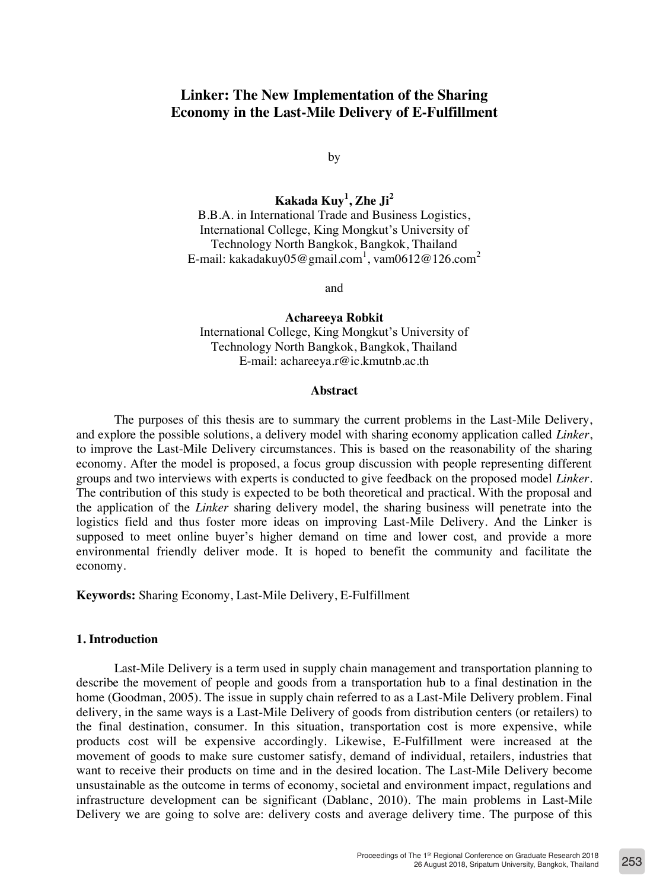## **Linker: The New Implementation of the Sharing Economy in the Last-Mile Delivery of E-Fulfillment**

by

**Kakada Kuy<sup>1</sup> , Zhe Ji<sup>2</sup>**

B.B.A. in International Trade and Business Logistics, International College, King Mongkut's University of Technology North Bangkok, Bangkok, Thailand E-mail: kakadakuy $05@$ gmail.com $^1$ , vam $0612@126.$ com $^2$ 

and

**Achareeya Robkit**

International College, King Mongkut's University of Technology North Bangkok, Bangkok, Thailand E-mail: achareeya.r@ic.kmutnb.ac.th

#### **Abstract**

The purposes of this thesis are to summary the current problems in the Last-Mile Delivery, and explore the possible solutions, a delivery model with sharing economy application called *Linker*, to improve the Last-Mile Delivery circumstances. This is based on the reasonability of the sharing economy. After the model is proposed, a focus group discussion with people representing different groups and two interviews with experts is conducted to give feedback on the proposed model *Linker*. The contribution of this study is expected to be both theoretical and practical. With the proposal and the application of the *Linker* sharing delivery model, the sharing business will penetrate into the logistics field and thus foster more ideas on improving Last-Mile Delivery. And the Linker is supposed to meet online buyer's higher demand on time and lower cost, and provide a more environmental friendly deliver mode. It is hoped to benefit the community and facilitate the economy.

**Keywords:** Sharing Economy, Last-Mile Delivery, E-Fulfillment

#### **1. Introduction**

Last-Mile Delivery is a term used in supply chain management and transportation planning to describe the movement of people and goods from a transportation hub to a final destination in the home (Goodman, 2005). The issue in supply chain referred to as a Last-Mile Delivery problem. Final delivery, in the same ways is a Last-Mile Delivery of goods from distribution centers (or retailers) to the final destination, consumer. In this situation, transportation cost is more expensive, while products cost will be expensive accordingly. Likewise, E-Fulfillment were increased at the movement of goods to make sure customer satisfy, demand of individual, retailers, industries that want to receive their products on time and in the desired location. The Last-Mile Delivery become unsustainable as the outcome in terms of economy, societal and environment impact, regulations and infrastructure development can be significant (Dablanc, 2010). The main problems in Last-Mile Delivery we are going to solve are: delivery costs and average delivery time. The purpose of this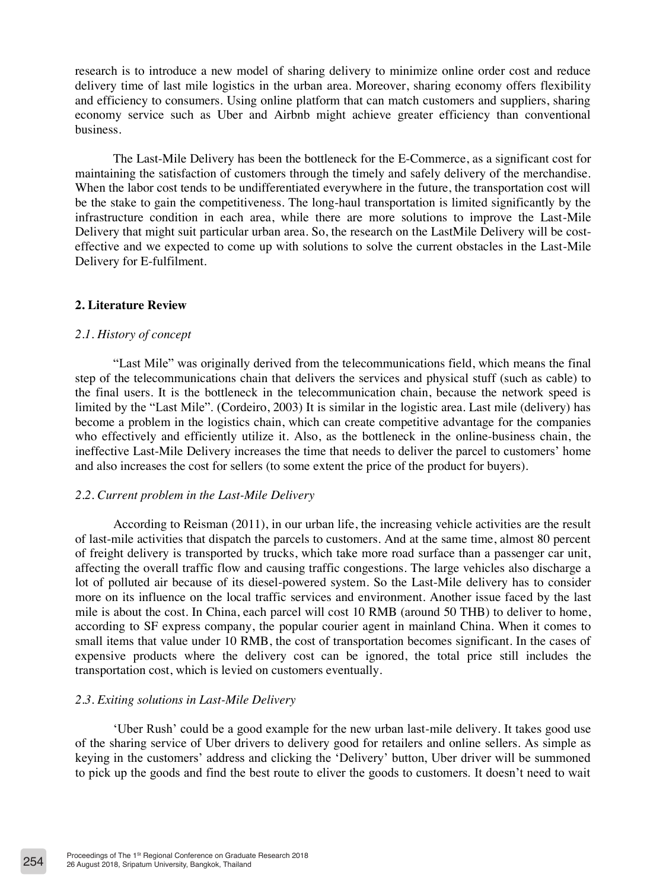research is to introduce a new model of sharing delivery to minimize online order cost and reduce delivery time of last mile logistics in the urban area. Moreover, sharing economy offers flexibility and efficiency to consumers. Using online platform that can match customers and suppliers, sharing economy service such as Uber and Airbnb might achieve greater efficiency than conventional business.

The Last-Mile Delivery has been the bottleneck for the E-Commerce, as a significant cost for maintaining the satisfaction of customers through the timely and safely delivery of the merchandise. When the labor cost tends to be undifferentiated everywhere in the future, the transportation cost will be the stake to gain the competitiveness. The long-haul transportation is limited significantly by the infrastructure condition in each area, while there are more solutions to improve the Last-Mile Delivery that might suit particular urban area. So, the research on the LastMile Delivery will be costeffective and we expected to come up with solutions to solve the current obstacles in the Last-Mile Delivery for E-fulfilment.

## **2. Literature Review**

## *2.1. History of concept*

"Last Mile" was originally derived from the telecommunications field, which means the final step of the telecommunications chain that delivers the services and physical stuff (such as cable) to the final users. It is the bottleneck in the telecommunication chain, because the network speed is limited by the "Last Mile". (Cordeiro, 2003) It is similar in the logistic area. Last mile (delivery) has become a problem in the logistics chain, which can create competitive advantage for the companies who effectively and efficiently utilize it. Also, as the bottleneck in the online-business chain, the ineffective Last-Mile Delivery increases the time that needs to deliver the parcel to customers' home and also increases the cost for sellers (to some extent the price of the product for buyers).

## *2.2. Current problem in the Last-Mile Delivery*

According to Reisman (2011), in our urban life, the increasing vehicle activities are the result of last-mile activities that dispatch the parcels to customers. And at the same time, almost 80 percent of freight delivery is transported by trucks, which take more road surface than a passenger car unit, affecting the overall traffic flow and causing traffic congestions. The large vehicles also discharge a lot of polluted air because of its diesel-powered system. So the Last-Mile delivery has to consider more on its influence on the local traffic services and environment. Another issue faced by the last mile is about the cost. In China, each parcel will cost 10 RMB (around 50 THB) to deliver to home, according to SF express company, the popular courier agent in mainland China. When it comes to small items that value under 10 RMB, the cost of transportation becomes significant. In the cases of expensive products where the delivery cost can be ignored, the total price still includes the transportation cost, which is levied on customers eventually.

## *2.3. Exiting solutions in Last-Mile Delivery*

'Uber Rush' could be a good example for the new urban last-mile delivery. It takes good use of the sharing service of Uber drivers to delivery good for retailers and online sellers. As simple as keying in the customers' address and clicking the 'Delivery' button, Uber driver will be summoned to pick up the goods and find the best route to eliver the goods to customers. It doesn't need to wait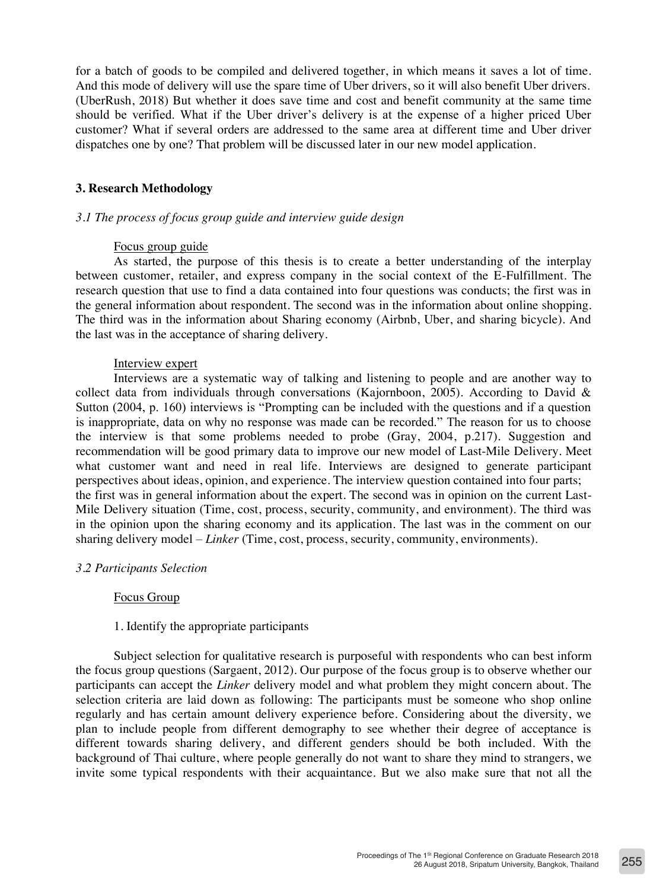for a batch of goods to be compiled and delivered together, in which means it saves a lot of time. And this mode of delivery will use the spare time of Uber drivers, so it will also benefit Uber drivers. (UberRush, 2018) But whether it does save time and cost and benefit community at the same time should be verified. What if the Uber driver's delivery is at the expense of a higher priced Uber customer? What if several orders are addressed to the same area at different time and Uber driver dispatches one by one? That problem will be discussed later in our new model application.

## **3. Research Methodology**

## *3.1 The process of focus group guide and interview guide design*

#### Focus group guide

As started, the purpose of this thesis is to create a better understanding of the interplay between customer, retailer, and express company in the social context of the E-Fulfillment. The research question that use to find a data contained into four questions was conducts; the first was in the general information about respondent. The second was in the information about online shopping. The third was in the information about Sharing economy (Airbnb, Uber, and sharing bicycle). And the last was in the acceptance of sharing delivery.

## Interview expert

Interviews are a systematic way of talking and listening to people and are another way to collect data from individuals through conversations (Kajornboon, 2005). According to David  $\&$ Sutton (2004, p. 160) interviews is "Prompting can be included with the questions and if a question is inappropriate, data on why no response was made can be recorded." The reason for us to choose the interview is that some problems needed to probe (Gray, 2004, p.217). Suggestion and recommendation will be good primary data to improve our new model of Last-Mile Delivery. Meet what customer want and need in real life. Interviews are designed to generate participant perspectives about ideas, opinion, and experience. The interview question contained into four parts; the first was in general information about the expert. The second was in opinion on the current Last-Mile Delivery situation (Time, cost, process, security, community, and environment). The third was in the opinion upon the sharing economy and its application. The last was in the comment on our sharing delivery model – *Linker* (Time, cost, process, security, community, environments).

## *3.2 Participants Selection*

## Focus Group

## 1. Identify the appropriate participants

Subject selection for qualitative research is purposeful with respondents who can best inform the focus group questions (Sargaent, 2012). Our purpose of the focus group is to observe whether our participants can accept the *Linker* delivery model and what problem they might concern about. The selection criteria are laid down as following: The participants must be someone who shop online regularly and has certain amount delivery experience before. Considering about the diversity, we plan to include people from different demography to see whether their degree of acceptance is different towards sharing delivery, and different genders should be both included. With the background of Thai culture, where people generally do not want to share they mind to strangers, we invite some typical respondents with their acquaintance. But we also make sure that not all the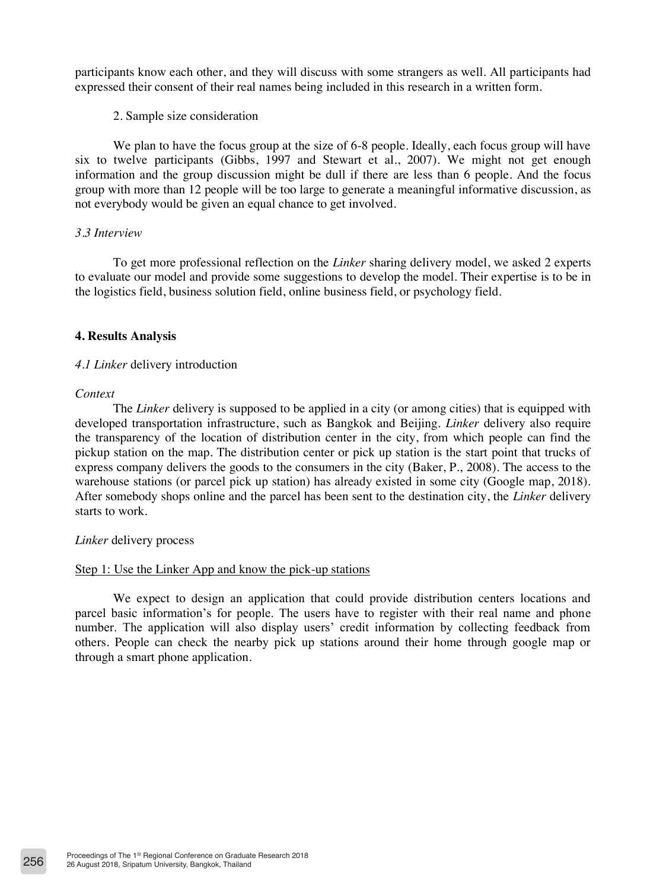participants know each other, and they will discuss with some strangers as well. All participants had expressed their consent of their real names being included in this research in a written form.

#### 2. Sample size consideration

We plan to have the focus group at the size of 6-8 people. Ideally, each focus group will have six to twelve participants (Gibbs, 1997 and Stewart et al., 2007). We might not get enough information and the group discussion might be dull if there are less than 6 people. And the focus group with more than 12 people will be too large to generate a meaningful informative discussion, as not everybody would be given an equal chance to get involved.

## *3.3 Interview*

To get more professional reflection on the *Linker* sharing delivery model, we asked 2 experts to evaluate our model and provide some suggestions to develop the model. Their expertise is to be in the logistics field, business solution field, online business field, or psychology field.

#### **4. Results Analysis**

## *4.1 Linker* delivery introduction

#### *Context*

The *Linker* delivery is supposed to be applied in a city (or among cities) that is equipped with developed transportation infrastructure, such as Bangkok and Beijing. *Linker* delivery also require the transparency of the location of distribution center in the city, from which people can find the pickup station on the map. The distribution center or pick up station is the start point that trucks of express company delivers the goods to the consumers in the city (Baker, P., 2008). The access to the warehouse stations (or parcel pick up station) has already existed in some city (Google map, 2018). After somebody shops online and the parcel has been sent to the destination city, the *Linker* delivery starts to work.

#### *Linker* delivery process

## Step 1: Use the Linker App and know the pick-up stations

We expect to design an application that could provide distribution centers locations and parcel basic information's for people. The users have to register with their real name and phone number. The application will also display users' credit information by collecting feedback from others. People can check the nearby pick up stations around their home through google map or through a smart phone application.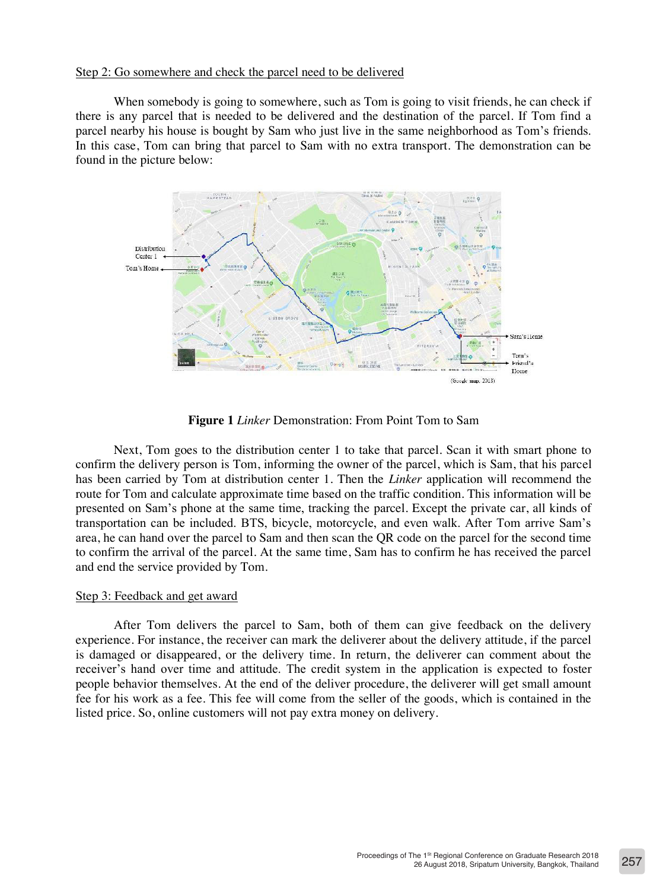#### Step 2: Go somewhere and check the parcel need to be delivered

When somebody is going to somewhere, such as Tom is going to visit friends, he can check if there is any parcel that is needed to be delivered and the destination of the parcel. If Tom find a parcel nearby his house is bought by Sam who just live in the same neighborhood as Tom's friends. In this case, Tom can bring that parcel to Sam with no extra transport. The demonstration can be found in the picture below:



**Figure 1** *Linker* Demonstration: From Point Tom to Sam

Next, Tom goes to the distribution center 1 to take that parcel. Scan it with smart phone to confirm the delivery person is Tom, informing the owner of the parcel, which is Sam, that his parcel has been carried by Tom at distribution center 1. Then the *Linker* application will recommend the route for Tom and calculate approximate time based on the traffic condition. This information will be presented on Sam's phone at the same time, tracking the parcel. Except the private car, all kinds of transportation can be included. BTS, bicycle, motorcycle, and even walk. After Tom arrive Sam's area, he can hand over the parcel to Sam and then scan the QR code on the parcel for the second time to confirm the arrival of the parcel. At the same time, Sam has to confirm he has received the parcel and end the service provided by Tom.

#### Step 3: Feedback and get award

After Tom delivers the parcel to Sam, both of them can give feedback on the delivery experience. For instance, the receiver can mark the deliverer about the delivery attitude, if the parcel is damaged or disappeared, or the delivery time. In return, the deliverer can comment about the receiver's hand over time and attitude. The credit system in the application is expected to foster people behavior themselves. At the end of the deliver procedure, the deliverer will get small amount fee for his work as a fee. This fee will come from the seller of the goods, which is contained in the listed price. So, online customers will not pay extra money on delivery.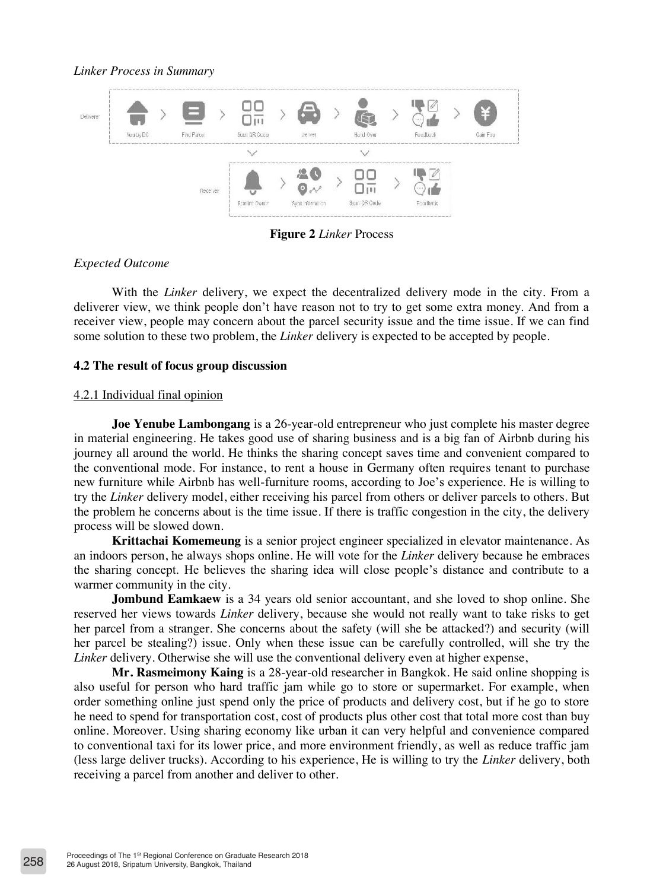#### *Linker Process in Summary*



**Figure 2** *Linker* Process

## *Expected Outcome*

With the *Linker* delivery, we expect the decentralized delivery mode in the city. From a deliverer view, we think people don't have reason not to try to get some extra money. And from a receiver view, people may concern about the parcel security issue and the time issue. If we can find some solution to these two problem, the *Linker* delivery is expected to be accepted by people.

## **4.2 The result of focus group discussion**

#### 4.2.1 Individual final opinion

**Joe Yenube Lambongang** is a 26-year-old entrepreneur who just complete his master degree in material engineering. He takes good use of sharing business and is a big fan of Airbnb during his journey all around the world. He thinks the sharing concept saves time and convenient compared to the conventional mode. For instance, to rent a house in Germany often requires tenant to purchase new furniture while Airbnb has well-furniture rooms, according to Joe's experience. He is willing to try the *Linker* delivery model, either receiving his parcel from others or deliver parcels to others. But the problem he concerns about is the time issue. If there is traffic congestion in the city, the delivery process will be slowed down.

**Krittachai Komemeung** is a senior project engineer specialized in elevator maintenance. As an indoors person, he always shops online. He will vote for the *Linker* delivery because he embraces the sharing concept. He believes the sharing idea will close people's distance and contribute to a warmer community in the city.

**Jombund Eamkaew** is a 34 years old senior accountant, and she loved to shop online. She reserved her views towards *Linker* delivery, because she would not really want to take risks to get her parcel from a stranger. She concerns about the safety (will she be attacked?) and security (will her parcel be stealing?) issue. Only when these issue can be carefully controlled, will she try the *Linker* delivery. Otherwise she will use the conventional delivery even at higher expense,

**Mr. Rasmeimony Kaing** is a 28-year-old researcher in Bangkok. He said online shopping is also useful for person who hard traffic jam while go to store or supermarket. For example, when order something online just spend only the price of products and delivery cost, but if he go to store he need to spend for transportation cost, cost of products plus other cost that total more cost than buy online. Moreover. Using sharing economy like urban it can very helpful and convenience compared to conventional taxi for its lower price, and more environment friendly, as well as reduce traffic jam (less large deliver trucks). According to his experience, He is willing to try the *Linker* delivery, both receiving a parcel from another and deliver to other.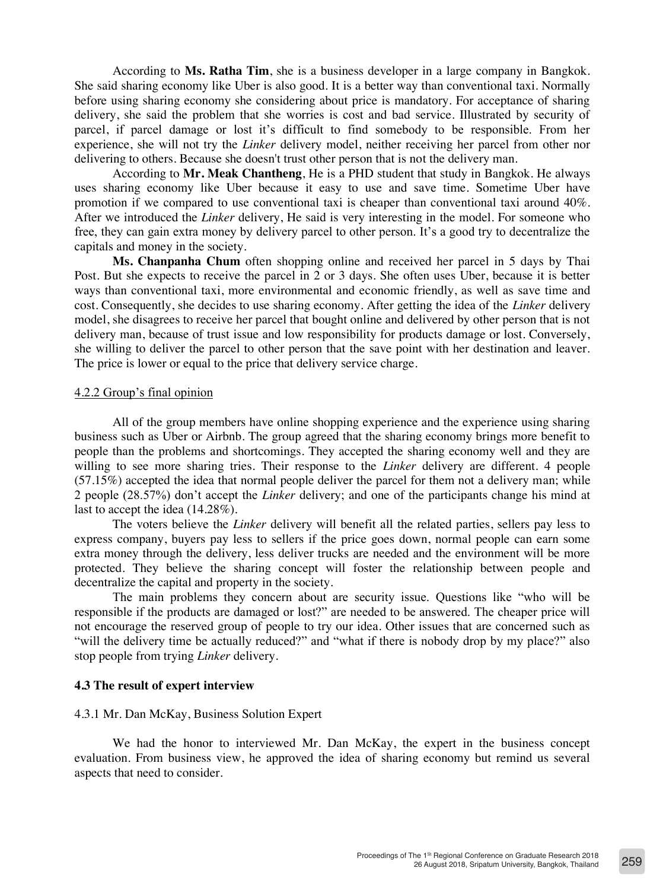According to **Ms. Ratha Tim**, she is a business developer in a large company in Bangkok. She said sharing economy like Uber is also good. It is a better way than conventional taxi. Normally before using sharing economy she considering about price is mandatory. For acceptance of sharing delivery, she said the problem that she worries is cost and bad service. Illustrated by security of parcel, if parcel damage or lost it's difficult to find somebody to be responsible. From her experience, she will not try the *Linker* delivery model, neither receiving her parcel from other nor delivering to others. Because she doesn't trust other person that is not the delivery man.

According to **Mr. Meak Chantheng**, He is a PHD student that study in Bangkok. He always uses sharing economy like Uber because it easy to use and save time. Sometime Uber have promotion if we compared to use conventional taxi is cheaper than conventional taxi around 40%. After we introduced the *Linker* delivery, He said is very interesting in the model. For someone who free, they can gain extra money by delivery parcel to other person. It's a good try to decentralize the capitals and money in the society.

**Ms. Chanpanha Chum** often shopping online and received her parcel in 5 days by Thai Post. But she expects to receive the parcel in 2 or 3 days. She often uses Uber, because it is better ways than conventional taxi, more environmental and economic friendly, as well as save time and cost. Consequently, she decides to use sharing economy. After getting the idea of the *Linker* delivery model, she disagrees to receive her parcel that bought online and delivered by other person that is not delivery man, because of trust issue and low responsibility for products damage or lost. Conversely, she willing to deliver the parcel to other person that the save point with her destination and leaver. The price is lower or equal to the price that delivery service charge.

## 4.2.2 Group's final opinion

All of the group members have online shopping experience and the experience using sharing business such as Uber or Airbnb. The group agreed that the sharing economy brings more benefit to people than the problems and shortcomings. They accepted the sharing economy well and they are willing to see more sharing tries. Their response to the *Linker* delivery are different. 4 people (57.15%) accepted the idea that normal people deliver the parcel for them not a delivery man; while 2 people (28.57%) don't accept the *Linker* delivery; and one of the participants change his mind at last to accept the idea (14.28%).

The voters believe the *Linker* delivery will benefit all the related parties, sellers pay less to express company, buyers pay less to sellers if the price goes down, normal people can earn some extra money through the delivery, less deliver trucks are needed and the environment will be more protected. They believe the sharing concept will foster the relationship between people and decentralize the capital and property in the society.

The main problems they concern about are security issue. Questions like "who will be responsible if the products are damaged or lost?" are needed to be answered. The cheaper price will not encourage the reserved group of people to try our idea. Other issues that are concerned such as "will the delivery time be actually reduced?" and "what if there is nobody drop by my place?" also stop people from trying *Linker* delivery.

#### **4.3 The result of expert interview**

#### 4.3.1 Mr. Dan McKay, Business Solution Expert

We had the honor to interviewed Mr. Dan McKay, the expert in the business concept evaluation. From business view, he approved the idea of sharing economy but remind us several aspects that need to consider.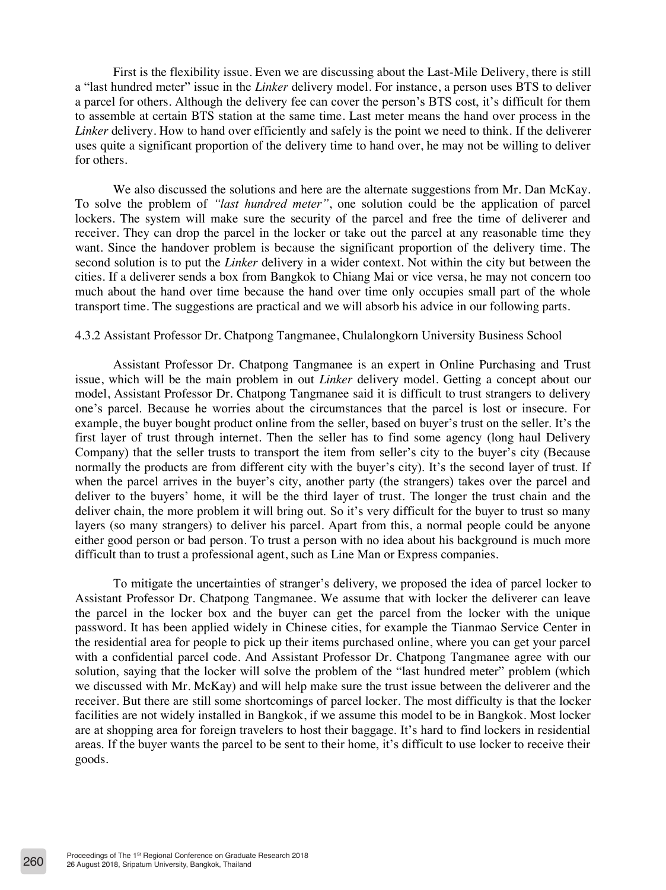First is the flexibility issue. Even we are discussing about the Last-Mile Delivery, there is still a "last hundred meter" issue in the *Linker* delivery model. For instance, a person uses BTS to deliver a parcel for others. Although the delivery fee can cover the person's BTS cost, it's difficult for them to assemble at certain BTS station at the same time. Last meter means the hand over process in the *Linker* delivery. How to hand over efficiently and safely is the point we need to think. If the deliverer uses quite a significant proportion of the delivery time to hand over, he may not be willing to deliver for others.

We also discussed the solutions and here are the alternate suggestions from Mr. Dan McKay. To solve the problem of *"last hundred meter"*, one solution could be the application of parcel lockers. The system will make sure the security of the parcel and free the time of deliverer and receiver. They can drop the parcel in the locker or take out the parcel at any reasonable time they want. Since the handover problem is because the significant proportion of the delivery time. The second solution is to put the *Linker* delivery in a wider context. Not within the city but between the cities. If a deliverer sends a box from Bangkok to Chiang Mai or vice versa, he may not concern too much about the hand over time because the hand over time only occupies small part of the whole transport time. The suggestions are practical and we will absorb his advice in our following parts.

#### 4.3.2 Assistant Professor Dr. Chatpong Tangmanee, Chulalongkorn University Business School

Assistant Professor Dr. Chatpong Tangmanee is an expert in Online Purchasing and Trust issue, which will be the main problem in out *Linker* delivery model. Getting a concept about our model, Assistant Professor Dr. Chatpong Tangmanee said it is difficult to trust strangers to delivery one's parcel. Because he worries about the circumstances that the parcel is lost or insecure. For example, the buyer bought product online from the seller, based on buyer's trust on the seller. It's the first layer of trust through internet. Then the seller has to find some agency (long haul Delivery Company) that the seller trusts to transport the item from seller's city to the buyer's city (Because normally the products are from different city with the buyer's city). It's the second layer of trust. If when the parcel arrives in the buyer's city, another party (the strangers) takes over the parcel and deliver to the buyers' home, it will be the third layer of trust. The longer the trust chain and the deliver chain, the more problem it will bring out. So it's very difficult for the buyer to trust so many layers (so many strangers) to deliver his parcel. Apart from this, a normal people could be anyone either good person or bad person. To trust a person with no idea about his background is much more difficult than to trust a professional agent, such as Line Man or Express companies.

To mitigate the uncertainties of stranger's delivery, we proposed the idea of parcel locker to Assistant Professor Dr. Chatpong Tangmanee. We assume that with locker the deliverer can leave the parcel in the locker box and the buyer can get the parcel from the locker with the unique password. It has been applied widely in Chinese cities, for example the Tianmao Service Center in the residential area for people to pick up their items purchased online, where you can get your parcel with a confidential parcel code. And Assistant Professor Dr. Chatpong Tangmanee agree with our solution, saying that the locker will solve the problem of the "last hundred meter" problem (which we discussed with Mr. McKay) and will help make sure the trust issue between the deliverer and the receiver. But there are still some shortcomings of parcel locker. The most difficulty is that the locker facilities are not widely installed in Bangkok, if we assume this model to be in Bangkok. Most locker are at shopping area for foreign travelers to host their baggage. It's hard to find lockers in residential areas. If the buyer wants the parcel to be sent to their home, it's difficult to use locker to receive their goods.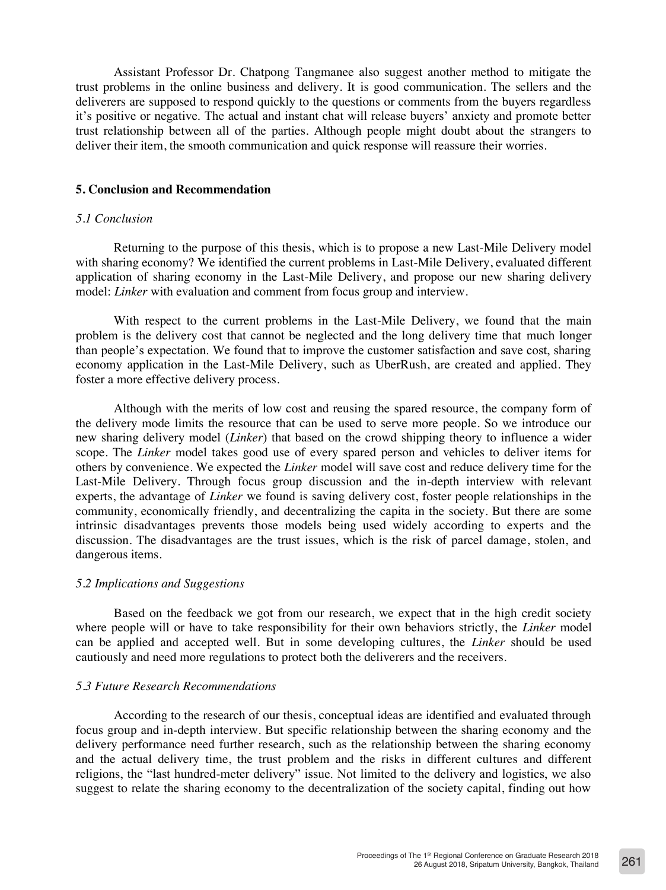Assistant Professor Dr. Chatpong Tangmanee also suggest another method to mitigate the trust problems in the online business and delivery. It is good communication. The sellers and the deliverers are supposed to respond quickly to the questions or comments from the buyers regardless it's positive or negative. The actual and instant chat will release buyers' anxiety and promote better trust relationship between all of the parties. Although people might doubt about the strangers to deliver their item, the smooth communication and quick response will reassure their worries.

#### **5. Conclusion and Recommendation**

## *5.1 Conclusion*

Returning to the purpose of this thesis, which is to propose a new Last-Mile Delivery model with sharing economy? We identified the current problems in Last-Mile Delivery, evaluated different application of sharing economy in the Last-Mile Delivery, and propose our new sharing delivery model: *Linker* with evaluation and comment from focus group and interview.

With respect to the current problems in the Last-Mile Delivery, we found that the main problem is the delivery cost that cannot be neglected and the long delivery time that much longer than people's expectation. We found that to improve the customer satisfaction and save cost, sharing economy application in the Last-Mile Delivery, such as UberRush, are created and applied. They foster a more effective delivery process.

Although with the merits of low cost and reusing the spared resource, the company form of the delivery mode limits the resource that can be used to serve more people. So we introduce our new sharing delivery model (*Linker*) that based on the crowd shipping theory to influence a wider scope. The *Linker* model takes good use of every spared person and vehicles to deliver items for others by convenience. We expected the *Linker* model will save cost and reduce delivery time for the Last-Mile Delivery. Through focus group discussion and the in-depth interview with relevant experts, the advantage of *Linker* we found is saving delivery cost, foster people relationships in the community, economically friendly, and decentralizing the capita in the society. But there are some intrinsic disadvantages prevents those models being used widely according to experts and the discussion. The disadvantages are the trust issues, which is the risk of parcel damage, stolen, and dangerous items.

#### *5.2 Implications and Suggestions*

Based on the feedback we got from our research, we expect that in the high credit society where people will or have to take responsibility for their own behaviors strictly, the *Linker* model can be applied and accepted well. But in some developing cultures, the *Linker* should be used cautiously and need more regulations to protect both the deliverers and the receivers.

## *5.3 Future Research Recommendations*

According to the research of our thesis, conceptual ideas are identified and evaluated through focus group and in-depth interview. But specific relationship between the sharing economy and the delivery performance need further research, such as the relationship between the sharing economy and the actual delivery time, the trust problem and the risks in different cultures and different religions, the "last hundred-meter delivery" issue. Not limited to the delivery and logistics, we also suggest to relate the sharing economy to the decentralization of the society capital, finding out how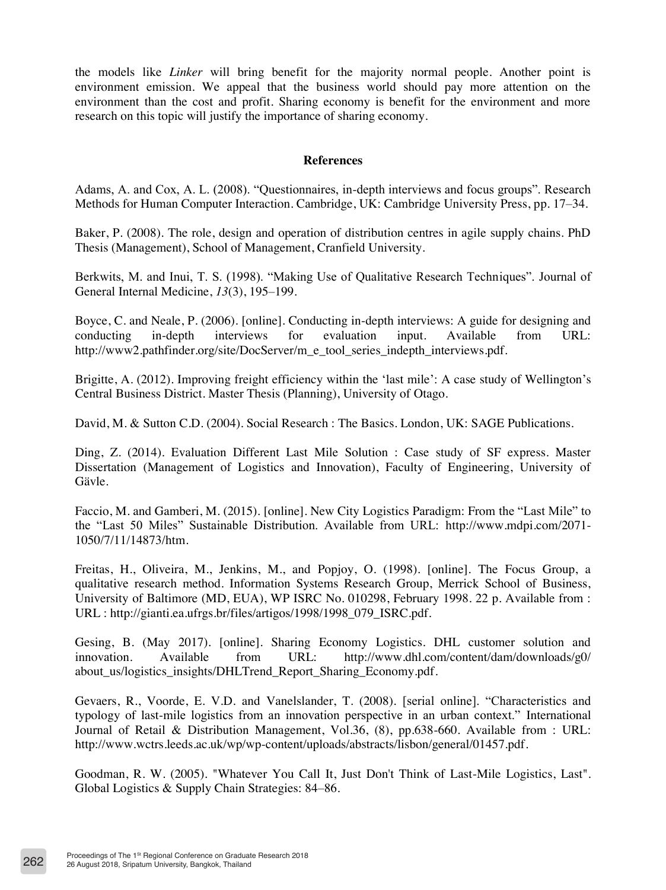the models like *Linker* will bring benefit for the majority normal people. Another point is environment emission. We appeal that the business world should pay more attention on the environment than the cost and profit. Sharing economy is benefit for the environment and more research on this topic will justify the importance of sharing economy.

## **References**

Adams, A. and Cox, A. L. (2008). "Questionnaires, in-depth interviews and focus groups". Research Methods for Human Computer Interaction. Cambridge, UK: Cambridge University Press, pp. 17–34.

Baker, P. (2008). The role, design and operation of distribution centres in agile supply chains. PhD Thesis (Management), School of Management, Cranfield University.

Berkwits, M. and Inui, T. S. (1998). "Making Use of Qualitative Research Techniques". Journal of General Internal Medicine, *13*(3), 195–199.

Boyce, C. and Neale, P. (2006). [online]. Conducting in-depth interviews: A guide for designing and conducting in-depth interviews for evaluation input. Available from URL: http://www2.pathfinder.org/site/DocServer/m\_e\_tool\_series\_indepth\_interviews.pdf.

Brigitte, A. (2012). Improving freight efficiency within the 'last mile': A case study of Wellington's Central Business District. Master Thesis (Planning), University of Otago.

David, M. & Sutton C.D. (2004). Social Research : The Basics. London, UK: SAGE Publications.

Ding, Z. (2014). Evaluation Different Last Mile Solution : Case study of SF express. Master Dissertation (Management of Logistics and Innovation), Faculty of Engineering, University of Gävle.

Faccio, M. and Gamberi, M. (2015). [online]. New City Logistics Paradigm: From the "Last Mile" to the "Last 50 Miles" Sustainable Distribution. Available from URL: http://www.mdpi.com/2071- 1050/7/11/14873/htm.

Freitas, H., Oliveira, M., Jenkins, M., and Popjoy, O. (1998). [online]. The Focus Group, a qualitative research method. Information Systems Research Group, Merrick School of Business, University of Baltimore (MD, EUA), WP ISRC No. 010298, February 1998. 22 p. Available from : URL : http://gianti.ea.ufrgs.br/files/artigos/1998/1998\_079\_ISRC.pdf.

Gesing, B. (May 2017). [online]. Sharing Economy Logistics. DHL customer solution and innovation. Available from URL: http://www.dhl.com/content/dam/downloads/g0/ about\_us/logistics\_insights/DHLTrend\_Report\_Sharing\_Economy.pdf.

Gevaers, R., Voorde, E. V.D. and Vanelslander, T. (2008). [serial online]. "Characteristics and typology of last-mile logistics from an innovation perspective in an urban context." International Journal of Retail & Distribution Management, Vol.36, (8), pp.638-660. Available from : URL: http://www.wctrs.leeds.ac.uk/wp/wp-content/uploads/abstracts/lisbon/general/01457.pdf.

Goodman, R. W. (2005). "Whatever You Call It, Just Don't Think of Last-Mile Logistics, Last". Global Logistics & Supply Chain Strategies: 84–86.